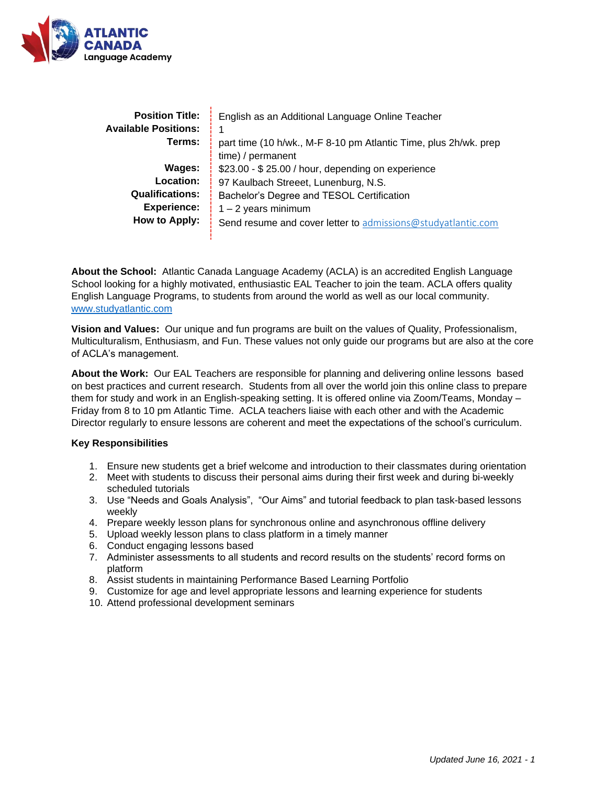

| <b>Position Title:</b><br><b>Available Positions:</b> | English as an Additional Language Online Teacher                 |
|-------------------------------------------------------|------------------------------------------------------------------|
| Terms:                                                | part time (10 h/wk., M-F 8-10 pm Atlantic Time, plus 2h/wk. prep |
|                                                       | time) / permanent                                                |
| Wages:                                                | \$23.00 - \$25.00 / hour, depending on experience                |
| Location:                                             | 97 Kaulbach Streeet, Lunenburg, N.S.                             |
| <b>Qualifications:</b>                                | Bachelor's Degree and TESOL Certification                        |
| <b>Experience:</b>                                    | $1 - 2$ years minimum                                            |
| <b>How to Apply:</b>                                  | Send resume and cover letter to admissions@studyatlantic.com     |
|                                                       |                                                                  |

**About the School:** Atlantic Canada Language Academy (ACLA) is an accredited English Language School looking for a highly motivated, enthusiastic EAL Teacher to join the team. ACLA offers quality English Language Programs, to students from around the world as well as our local community. [www.studyatlantic.com](http://www.studyatlantic.com/)

**Vision and Values:** Our unique and fun programs are built on the values of Quality, Professionalism, Multiculturalism, Enthusiasm, and Fun. These values not only guide our programs but are also at the core of ACLA's management.

**About the Work:** Our EAL Teachers are responsible for planning and delivering online lessons based on best practices and current research. Students from all over the world join this online class to prepare them for study and work in an English-speaking setting. It is offered online via Zoom/Teams, Monday – Friday from 8 to 10 pm Atlantic Time. ACLA teachers liaise with each other and with the Academic Director regularly to ensure lessons are coherent and meet the expectations of the school's curriculum.

## **Key Responsibilities**

- 1. Ensure new students get a brief welcome and introduction to their classmates during orientation
- 2. Meet with students to discuss their personal aims during their first week and during bi-weekly scheduled tutorials
- 3. Use "Needs and Goals Analysis", "Our Aims" and tutorial feedback to plan task-based lessons weekly
- 4. Prepare weekly lesson plans for synchronous online and asynchronous offline delivery
- 5. Upload weekly lesson plans to class platform in a timely manner
- 6. Conduct engaging lessons based
- 7. Administer assessments to all students and record results on the students' record forms on platform
- 8. Assist students in maintaining Performance Based Learning Portfolio
- 9. Customize for age and level appropriate lessons and learning experience for students
- 10. Attend professional development seminars